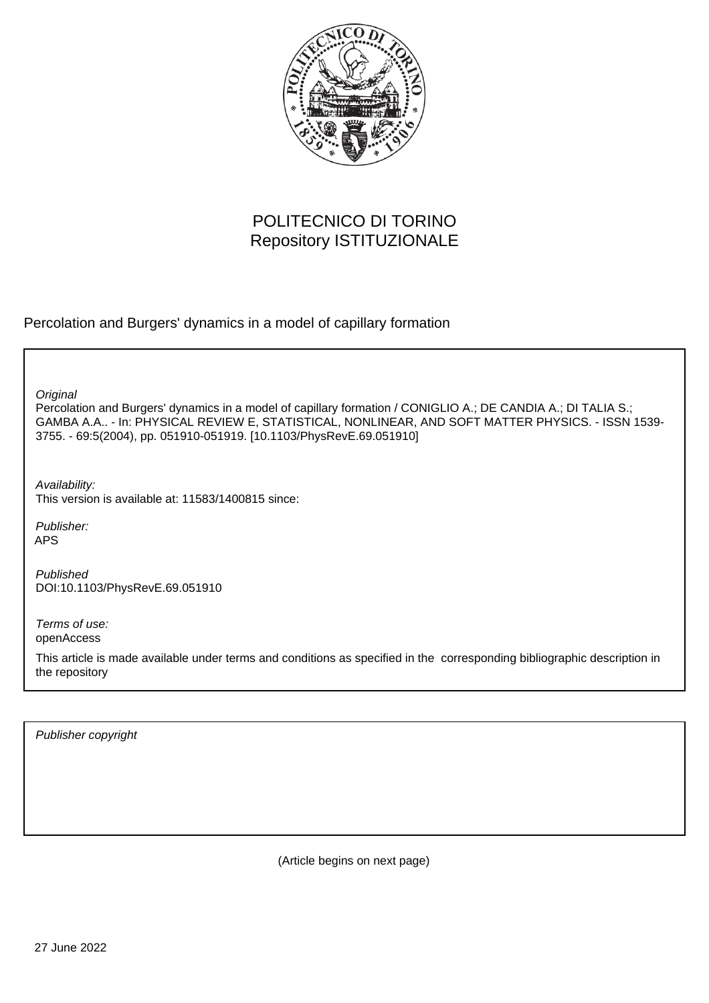

# POLITECNICO DI TORINO Repository ISTITUZIONALE

Percolation and Burgers' dynamics in a model of capillary formation

**Original** 

Percolation and Burgers' dynamics in a model of capillary formation / CONIGLIO A.; DE CANDIA A.; DI TALIA S.; GAMBA A.A.. - In: PHYSICAL REVIEW E, STATISTICAL, NONLINEAR, AND SOFT MATTER PHYSICS. - ISSN 1539- 3755. - 69:5(2004), pp. 051910-051919. [10.1103/PhysRevE.69.051910]

Availability: This version is available at: 11583/1400815 since:

Publisher: APS

Published DOI:10.1103/PhysRevE.69.051910

Terms of use: openAccess

This article is made available under terms and conditions as specified in the corresponding bibliographic description in the repository

Publisher copyright

(Article begins on next page)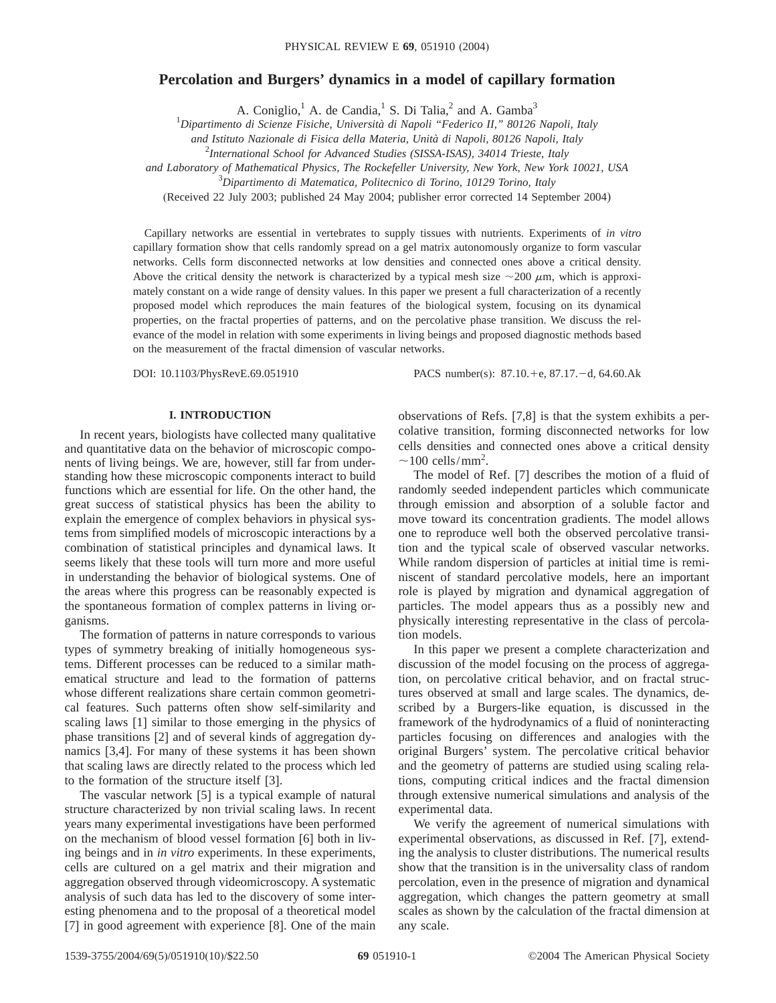# **Percolation and Burgers' dynamics in a model of capillary formation**

A. Coniglio,<sup>1</sup> A. de Candia,<sup>1</sup> S. Di Talia,<sup>2</sup> and A. Gamba<sup>3</sup>

1 *Dipartimento di Scienze Fisiche, Università di Napoli "Federico II," 80126 Napoli, Italy*

*and Istituto Nazionale di Fisica della Materia, Unità di Napoli, 80126 Napoli, Italy*

2 *International School for Advanced Studies (SISSA-ISAS), 34014 Trieste, Italy*

*and Laboratory of Mathematical Physics, The Rockefeller University, New York, New York 10021, USA*

3 *Dipartimento di Matematica, Politecnico di Torino, 10129 Torino, Italy*

(Received 22 July 2003; published 24 May 2004; publisher error corrected 14 September 2004)

Capillary networks are essential in vertebrates to supply tissues with nutrients. Experiments of *in vitro* capillary formation show that cells randomly spread on a gel matrix autonomously organize to form vascular networks. Cells form disconnected networks at low densities and connected ones above a critical density. Above the critical density the network is characterized by a typical mesh size  $\sim$ 200  $\mu$ m, which is approximately constant on a wide range of density values. In this paper we present a full characterization of a recently proposed model which reproduces the main features of the biological system, focusing on its dynamical properties, on the fractal properties of patterns, and on the percolative phase transition. We discuss the relevance of the model in relation with some experiments in living beings and proposed diagnostic methods based on the measurement of the fractal dimension of vascular networks.

DOI: 10.1103/PhysRevE.69.051910 PACS number(s): 87.10.+e, 87.17.-d, 64.60.Ak

# **I. INTRODUCTION**

In recent years, biologists have collected many qualitative and quantitative data on the behavior of microscopic components of living beings. We are, however, still far from understanding how these microscopic components interact to build functions which are essential for life. On the other hand, the great success of statistical physics has been the ability to explain the emergence of complex behaviors in physical systems from simplified models of microscopic interactions by a combination of statistical principles and dynamical laws. It seems likely that these tools will turn more and more useful in understanding the behavior of biological systems. One of the areas where this progress can be reasonably expected is the spontaneous formation of complex patterns in living organisms.

The formation of patterns in nature corresponds to various types of symmetry breaking of initially homogeneous systems. Different processes can be reduced to a similar mathematical structure and lead to the formation of patterns whose different realizations share certain common geometrical features. Such patterns often show self-similarity and scaling laws [1] similar to those emerging in the physics of phase transitions [2] and of several kinds of aggregation dynamics [3,4]. For many of these systems it has been shown that scaling laws are directly related to the process which led to the formation of the structure itself [3].

The vascular network [5] is a typical example of natural structure characterized by non trivial scaling laws. In recent years many experimental investigations have been performed on the mechanism of blood vessel formation [6] both in living beings and in *in vitro* experiments. In these experiments, cells are cultured on a gel matrix and their migration and aggregation observed through videomicroscopy. A systematic analysis of such data has led to the discovery of some interesting phenomena and to the proposal of a theoretical model [7] in good agreement with experience [8]. One of the main observations of Refs. [7,8] is that the system exhibits a percolative transition, forming disconnected networks for low cells densities and connected ones above a critical density  $\sim$ 100 cells/mm<sup>2</sup>.

The model of Ref. [7] describes the motion of a fluid of randomly seeded independent particles which communicate through emission and absorption of a soluble factor and move toward its concentration gradients. The model allows one to reproduce well both the observed percolative transition and the typical scale of observed vascular networks. While random dispersion of particles at initial time is reminiscent of standard percolative models, here an important role is played by migration and dynamical aggregation of particles. The model appears thus as a possibly new and physically interesting representative in the class of percolation models.

In this paper we present a complete characterization and discussion of the model focusing on the process of aggregation, on percolative critical behavior, and on fractal structures observed at small and large scales. The dynamics, described by a Burgers-like equation, is discussed in the framework of the hydrodynamics of a fluid of noninteracting particles focusing on differences and analogies with the original Burgers' system. The percolative critical behavior and the geometry of patterns are studied using scaling relations, computing critical indices and the fractal dimension through extensive numerical simulations and analysis of the experimental data.

We verify the agreement of numerical simulations with experimental observations, as discussed in Ref. [7], extending the analysis to cluster distributions. The numerical results show that the transition is in the universality class of random percolation, even in the presence of migration and dynamical aggregation, which changes the pattern geometry at small scales as shown by the calculation of the fractal dimension at any scale.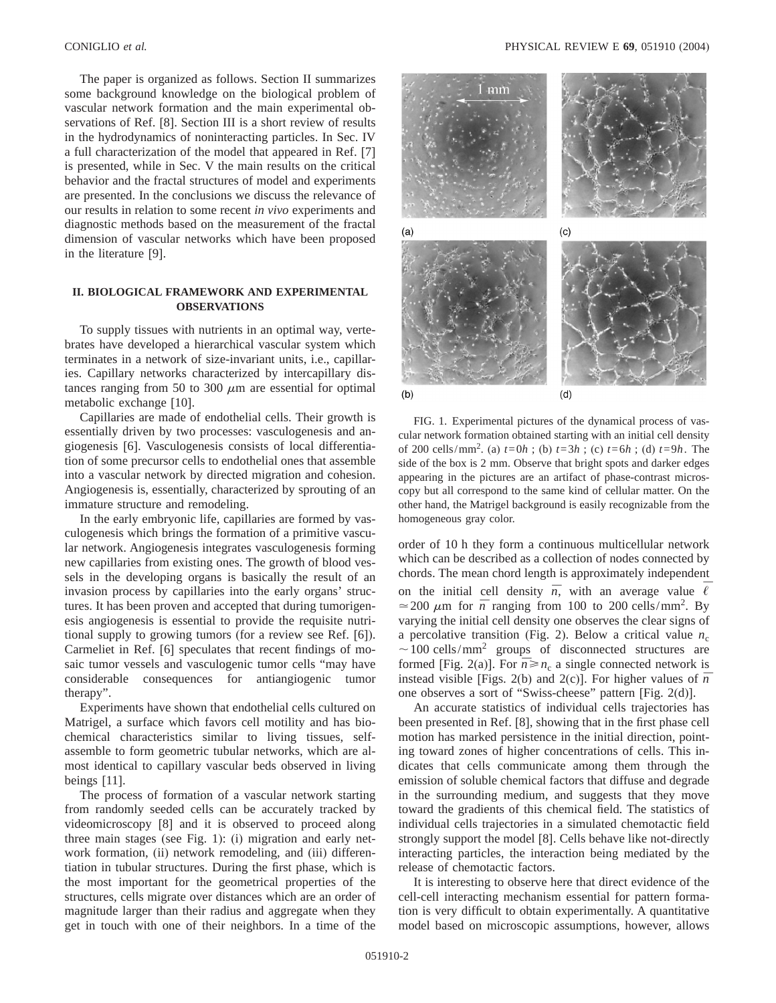The paper is organized as follows. Section II summarizes some background knowledge on the biological problem of vascular network formation and the main experimental observations of Ref. [8]. Section III is a short review of results in the hydrodynamics of noninteracting particles. In Sec. IV a full characterization of the model that appeared in Ref. [7] is presented, while in Sec. V the main results on the critical behavior and the fractal structures of model and experiments are presented. In the conclusions we discuss the relevance of our results in relation to some recent *in vivo* experiments and diagnostic methods based on the measurement of the fractal dimension of vascular networks which have been proposed in the literature [9].

# **II. BIOLOGICAL FRAMEWORK AND EXPERIMENTAL OBSERVATIONS**

To supply tissues with nutrients in an optimal way, vertebrates have developed a hierarchical vascular system which terminates in a network of size-invariant units, i.e., capillaries. Capillary networks characterized by intercapillary distances ranging from 50 to 300  $\mu$ m are essential for optimal metabolic exchange [10].

Capillaries are made of endothelial cells. Their growth is essentially driven by two processes: vasculogenesis and angiogenesis [6]. Vasculogenesis consists of local differentiation of some precursor cells to endothelial ones that assemble into a vascular network by directed migration and cohesion. Angiogenesis is, essentially, characterized by sprouting of an immature structure and remodeling.

In the early embryonic life, capillaries are formed by vasculogenesis which brings the formation of a primitive vascular network. Angiogenesis integrates vasculogenesis forming new capillaries from existing ones. The growth of blood vessels in the developing organs is basically the result of an invasion process by capillaries into the early organs' structures. It has been proven and accepted that during tumorigenesis angiogenesis is essential to provide the requisite nutritional supply to growing tumors (for a review see Ref. [6]). Carmeliet in Ref. [6] speculates that recent findings of mosaic tumor vessels and vasculogenic tumor cells "may have considerable consequences for antiangiogenic tumor therapy".

Experiments have shown that endothelial cells cultured on Matrigel, a surface which favors cell motility and has biochemical characteristics similar to living tissues, selfassemble to form geometric tubular networks, which are almost identical to capillary vascular beds observed in living beings [11].

The process of formation of a vascular network starting from randomly seeded cells can be accurately tracked by videomicroscopy [8] and it is observed to proceed along three main stages (see Fig. 1): (i) migration and early network formation, (ii) network remodeling, and (iii) differentiation in tubular structures. During the first phase, which is the most important for the geometrical properties of the structures, cells migrate over distances which are an order of magnitude larger than their radius and aggregate when they get in touch with one of their neighbors. In a time of the



FIG. 1. Experimental pictures of the dynamical process of vascular network formation obtained starting with an initial cell density of 200 cells/mm2. (a) *t*=0*h* ; (b) *t*=3*h* ; (c) *t*=6*h* ; (d) *t*=9*h*. The side of the box is 2 mm. Observe that bright spots and darker edges appearing in the pictures are an artifact of phase-contrast microscopy but all correspond to the same kind of cellular matter. On the other hand, the Matrigel background is easily recognizable from the homogeneous gray color.

order of 10 h they form a continuous multicellular network which can be described as a collection of nodes connected by chords. The mean chord length is approximately independent on the initial cell density  $\bar{n}$ , with an average value  $\bar{\ell}$  $\approx$  200  $\mu$ m for  $\bar{n}$  ranging from 100 to 200 cells/mm<sup>2</sup>. By varying the initial cell density one observes the clear signs of a percolative transition (Fig. 2). Below a critical value  $n_c$  $\sim$ 100 cells/mm<sup>2</sup> groups of disconnected structures are formed [Fig. 2(a)]. For  $\bar{n} \ge n_c$  a single connected network is instead visible [Figs. 2(b) and 2(c)]. For higher values of  $\bar{n}$ one observes a sort of "Swiss-cheese" pattern [Fig. 2(d)].

An accurate statistics of individual cells trajectories has been presented in Ref. [8], showing that in the first phase cell motion has marked persistence in the initial direction, pointing toward zones of higher concentrations of cells. This indicates that cells communicate among them through the emission of soluble chemical factors that diffuse and degrade in the surrounding medium, and suggests that they move toward the gradients of this chemical field. The statistics of individual cells trajectories in a simulated chemotactic field strongly support the model [8]. Cells behave like not-directly interacting particles, the interaction being mediated by the release of chemotactic factors.

It is interesting to observe here that direct evidence of the cell-cell interacting mechanism essential for pattern formation is very difficult to obtain experimentally. A quantitative model based on microscopic assumptions, however, allows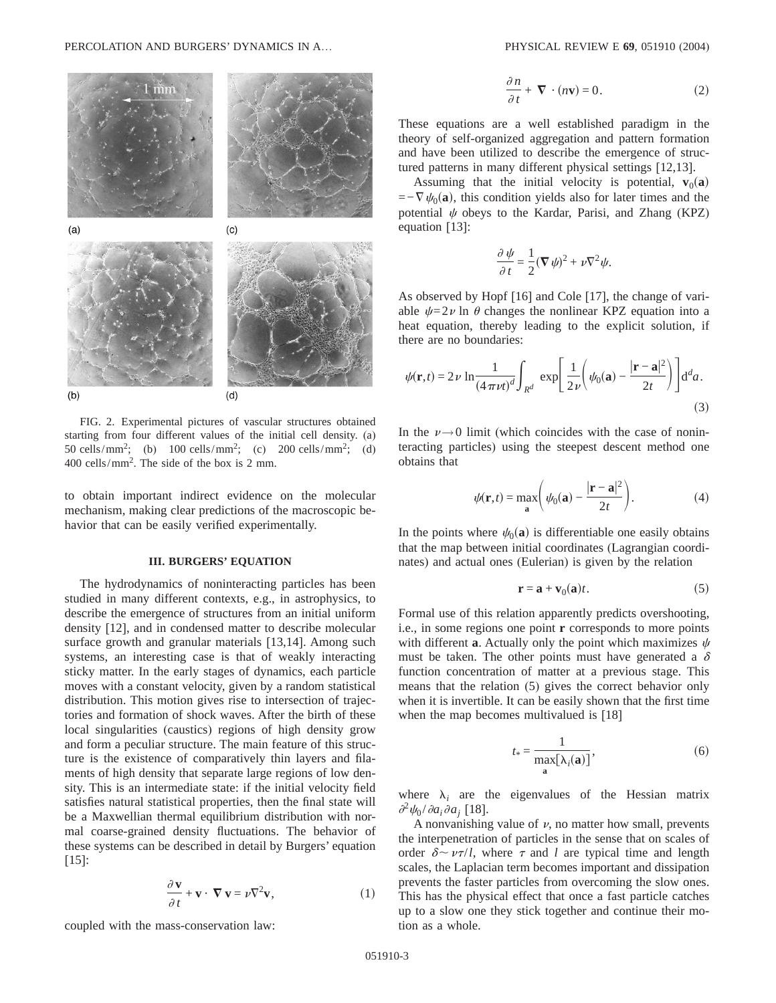

FIG. 2. Experimental pictures of vascular structures obtained starting from four different values of the initial cell density. (a) 50 cells/mm<sup>2</sup>; (b) 100 cells/mm<sup>2</sup>; (c) 200 cells/mm<sup>2</sup>; (d) 400 cells/ $mm^2$ . The side of the box is 2 mm.

to obtain important indirect evidence on the molecular mechanism, making clear predictions of the macroscopic behavior that can be easily verified experimentally.

#### **III. BURGERS' EQUATION**

The hydrodynamics of noninteracting particles has been studied in many different contexts, e.g., in astrophysics, to describe the emergence of structures from an initial uniform density [12], and in condensed matter to describe molecular surface growth and granular materials [13,14]. Among such systems, an interesting case is that of weakly interacting sticky matter. In the early stages of dynamics, each particle moves with a constant velocity, given by a random statistical distribution. This motion gives rise to intersection of trajectories and formation of shock waves. After the birth of these local singularities (caustics) regions of high density grow and form a peculiar structure. The main feature of this structure is the existence of comparatively thin layers and filaments of high density that separate large regions of low density. This is an intermediate state: if the initial velocity field satisfies natural statistical properties, then the final state will be a Maxwellian thermal equilibrium distribution with normal coarse-grained density fluctuations. The behavior of these systems can be described in detail by Burgers' equation [15]:

$$
\frac{\partial \mathbf{v}}{\partial t} + \mathbf{v} \cdot \nabla \mathbf{v} = \nu \nabla^2 \mathbf{v},\tag{1}
$$

coupled with the mass-conservation law:

$$
\frac{\partial n}{\partial t} + \nabla \cdot (n\mathbf{v}) = 0.
$$
 (2)

These equations are a well established paradigm in the theory of self-organized aggregation and pattern formation and have been utilized to describe the emergence of structured patterns in many different physical settings [12,13].

Assuming that the initial velocity is potential,  $\mathbf{v}_0(\mathbf{a})$  $=-\nabla \psi_0(\mathbf{a})$ , this condition yields also for later times and the potential  $\psi$  obeys to the Kardar, Parisi, and Zhang (KPZ) equation [13]:

$$
\frac{\partial \psi}{\partial t} = \frac{1}{2} (\nabla \psi)^2 + \nu \nabla^2 \psi.
$$

As observed by Hopf [16] and Cole [17], the change of variable  $\psi=2\nu$  ln  $\theta$  changes the nonlinear KPZ equation into a heat equation, thereby leading to the explicit solution, if there are no boundaries:

$$
\psi(\mathbf{r},t) = 2\nu \ln \frac{1}{(4\pi\nu t)^d} \int_{R^d} \exp \left[ \frac{1}{2\nu} \left( \psi_0(\mathbf{a}) - \frac{|\mathbf{r} - \mathbf{a}|^2}{2t} \right) \right] d^d a. \tag{3}
$$

In the  $\nu \rightarrow 0$  limit (which coincides with the case of noninteracting particles) using the steepest descent method one obtains that

$$
\psi(\mathbf{r},t) = \max_{\mathbf{a}} \left( \psi_0(\mathbf{a}) - \frac{|\mathbf{r} - \mathbf{a}|^2}{2t} \right).
$$
 (4)

In the points where  $\psi_0(\mathbf{a})$  is differentiable one easily obtains that the map between initial coordinates (Lagrangian coordinates) and actual ones (Eulerian) is given by the relation

$$
\mathbf{r} = \mathbf{a} + \mathbf{v}_0(\mathbf{a})t. \tag{5}
$$

Formal use of this relation apparently predicts overshooting, i.e., in some regions one point **r** corresponds to more points with different **a**. Actually only the point which maximizes  $\psi$ must be taken. The other points must have generated a  $\delta$ function concentration of matter at a previous stage. This means that the relation (5) gives the correct behavior only when it is invertible. It can be easily shown that the first time when the map becomes multivalued is [18]

$$
t_* = \frac{1}{\max_{\mathbf{a}} [\lambda_i(\mathbf{a})]},
$$
 (6)

where  $\lambda_i$  are the eigenvalues of the Hessian matrix  $\partial^2 \psi_0 / \partial a_i \partial a_j$  [18].

A nonvanishing value of  $\nu$ , no matter how small, prevents the interpenetration of particles in the sense that on scales of order  $\delta \sim \nu \tau/l$ , where  $\tau$  and *l* are typical time and length scales, the Laplacian term becomes important and dissipation prevents the faster particles from overcoming the slow ones. This has the physical effect that once a fast particle catches up to a slow one they stick together and continue their motion as a whole.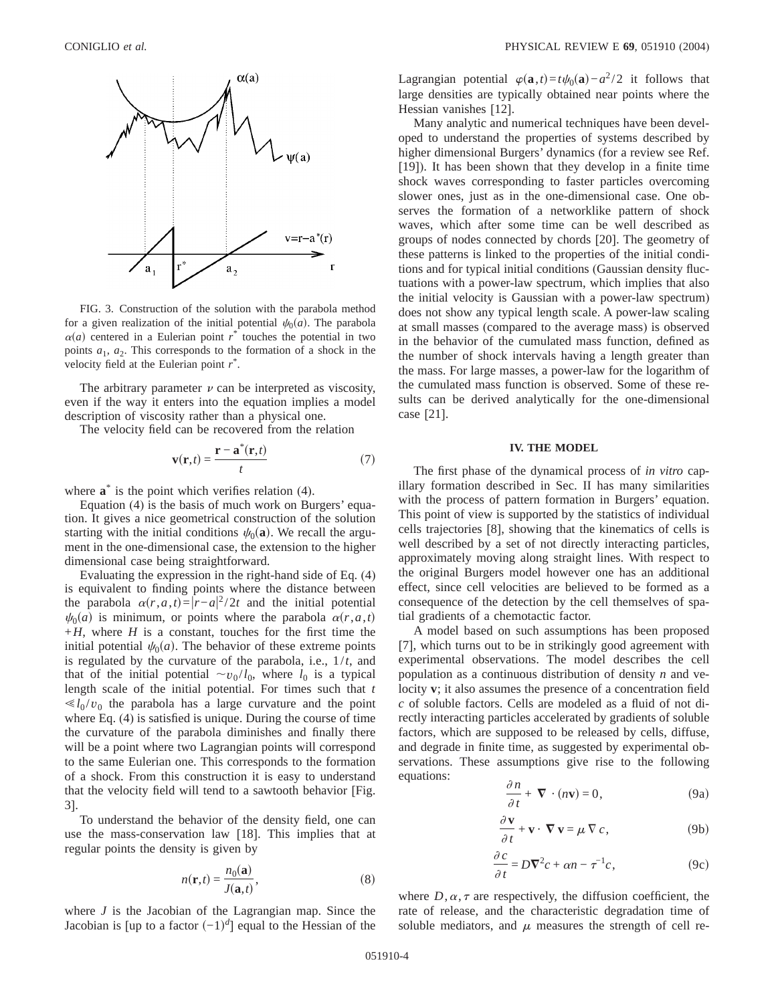

FIG. 3. Construction of the solution with the parabola method for a given realization of the initial potential  $\psi_0(a)$ . The parabola  $\alpha$ (*a*) centered in a Eulerian point *r*<sup>\*</sup> touches the potential in two points  $a_1$ ,  $a_2$ . This corresponds to the formation of a shock in the velocity field at the Eulerian point *r*\*.

The arbitrary parameter  $\nu$  can be interpreted as viscosity, even if the way it enters into the equation implies a model description of viscosity rather than a physical one.

The velocity field can be recovered from the relation

$$
\mathbf{v}(\mathbf{r},t) = \frac{\mathbf{r} - \mathbf{a}^*(\mathbf{r},t)}{t} \tag{7}
$$

where  $\mathbf{a}^*$  is the point which verifies relation (4).

Equation (4) is the basis of much work on Burgers' equation. It gives a nice geometrical construction of the solution starting with the initial conditions  $\psi_0(\mathbf{a})$ . We recall the argument in the one-dimensional case, the extension to the higher dimensional case being straightforward.

Evaluating the expression in the right-hand side of Eq. (4) is equivalent to finding points where the distance between the parabola  $\alpha(r, a, t) = |r - a|^2 / 2t$  and the initial potential  $\psi_0(a)$  is minimum, or points where the parabola  $\alpha(r, a, t)$  $+H$ , where *H* is a constant, touches for the first time the initial potential  $\psi_0(a)$ . The behavior of these extreme points is regulated by the curvature of the parabola, i.e., 1/*t*, and that of the initial potential  $\sim v_0 / l_0$ , where  $l_0$  is a typical length scale of the initial potential. For times such that *t*  $\ll l_0 / v_0$  the parabola has a large curvature and the point where Eq. (4) is satisfied is unique. During the course of time the curvature of the parabola diminishes and finally there will be a point where two Lagrangian points will correspond to the same Eulerian one. This corresponds to the formation of a shock. From this construction it is easy to understand that the velocity field will tend to a sawtooth behavior [Fig. 3].

To understand the behavior of the density field, one can use the mass-conservation law [18]. This implies that at regular points the density is given by

$$
n(\mathbf{r},t) = \frac{n_0(\mathbf{a})}{J(\mathbf{a},t)},
$$
\n(8)

where *J* is the Jacobian of the Lagrangian map. Since the Jacobian is [up to a factor  $(-1)^d$ ] equal to the Hessian of the

Lagrangian potential  $\varphi(\mathbf{a},t)=t\psi_0(\mathbf{a})-a^2/2$  it follows that large densities are typically obtained near points where the Hessian vanishes [12].

Many analytic and numerical techniques have been developed to understand the properties of systems described by higher dimensional Burgers' dynamics (for a review see Ref. [19]). It has been shown that they develop in a finite time shock waves corresponding to faster particles overcoming slower ones, just as in the one-dimensional case. One observes the formation of a networklike pattern of shock waves, which after some time can be well described as groups of nodes connected by chords [20]. The geometry of these patterns is linked to the properties of the initial conditions and for typical initial conditions (Gaussian density fluctuations with a power-law spectrum, which implies that also the initial velocity is Gaussian with a power-law spectrum) does not show any typical length scale. A power-law scaling at small masses (compared to the average mass) is observed in the behavior of the cumulated mass function, defined as the number of shock intervals having a length greater than the mass. For large masses, a power-law for the logarithm of the cumulated mass function is observed. Some of these results can be derived analytically for the one-dimensional case [21].

## **IV. THE MODEL**

The first phase of the dynamical process of *in vitro* capillary formation described in Sec. II has many similarities with the process of pattern formation in Burgers' equation. This point of view is supported by the statistics of individual cells trajectories [8], showing that the kinematics of cells is well described by a set of not directly interacting particles, approximately moving along straight lines. With respect to the original Burgers model however one has an additional effect, since cell velocities are believed to be formed as a consequence of the detection by the cell themselves of spatial gradients of a chemotactic factor.

A model based on such assumptions has been proposed [7], which turns out to be in strikingly good agreement with experimental observations. The model describes the cell population as a continuous distribution of density *n* and velocity **v**; it also assumes the presence of a concentration field *c* of soluble factors. Cells are modeled as a fluid of not directly interacting particles accelerated by gradients of soluble factors, which are supposed to be released by cells, diffuse, and degrade in finite time, as suggested by experimental observations. These assumptions give rise to the following equations:

$$
\frac{\partial n}{\partial t} + \nabla \cdot (n\mathbf{v}) = 0, \tag{9a}
$$

$$
\frac{\partial \mathbf{v}}{\partial t} + \mathbf{v} \cdot \nabla \mathbf{v} = \mu \nabla c, \qquad (9b)
$$

$$
\frac{\partial c}{\partial t} = D\mathbf{\nabla}^2 c + \alpha n - \tau^{-1} c,\tag{9c}
$$

where  $D, \alpha, \tau$  are respectively, the diffusion coefficient, the rate of release, and the characteristic degradation time of soluble mediators, and  $\mu$  measures the strength of cell re-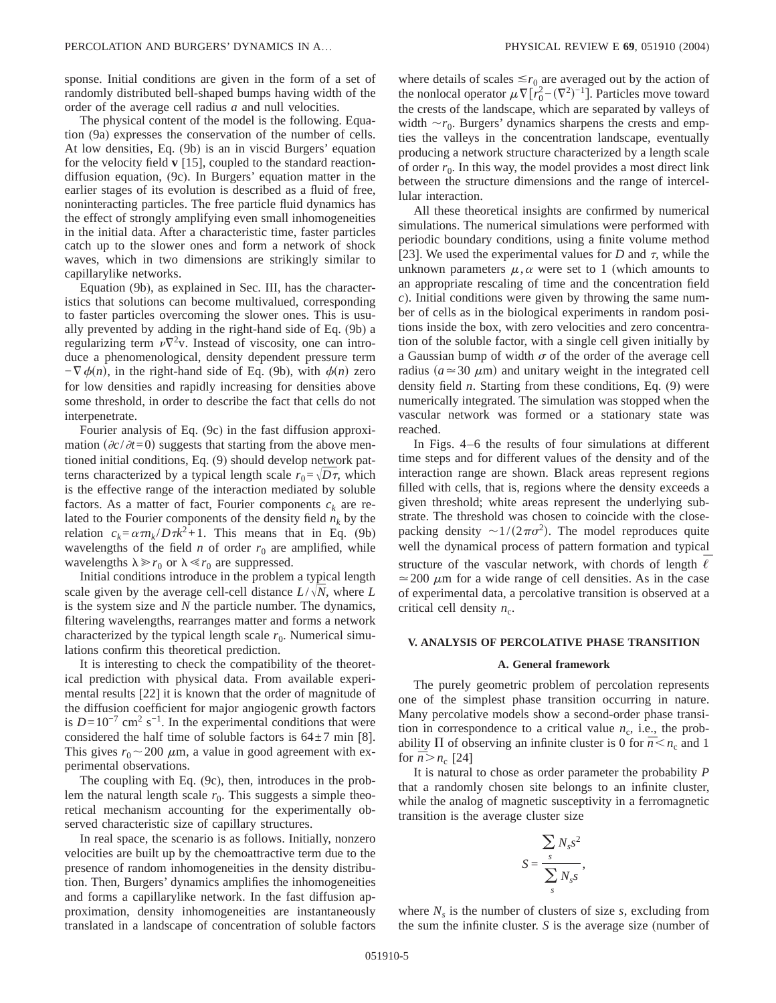sponse. Initial conditions are given in the form of a set of randomly distributed bell-shaped bumps having width of the order of the average cell radius *a* and null velocities.

The physical content of the model is the following. Equation (9a) expresses the conservation of the number of cells. At low densities, Eq. (9b) is an in viscid Burgers' equation for the velocity field **v** [15], coupled to the standard reactiondiffusion equation, (9c). In Burgers' equation matter in the earlier stages of its evolution is described as a fluid of free, noninteracting particles. The free particle fluid dynamics has the effect of strongly amplifying even small inhomogeneities in the initial data. After a characteristic time, faster particles catch up to the slower ones and form a network of shock waves, which in two dimensions are strikingly similar to capillarylike networks.

Equation (9b), as explained in Sec. III, has the characteristics that solutions can become multivalued, corresponding to faster particles overcoming the slower ones. This is usually prevented by adding in the right-hand side of Eq. (9b) a regularizing term  $\nu \nabla^2 v$ . Instead of viscosity, one can introduce a phenomenological, density dependent pressure term  $-\nabla \phi(n)$ , in the right-hand side of Eq. (9b), with  $\phi(n)$  zero for low densities and rapidly increasing for densities above some threshold, in order to describe the fact that cells do not interpenetrate.

Fourier analysis of Eq. (9c) in the fast diffusion approximation  $\left(\frac{\partial c}{\partial t}=0\right)$  suggests that starting from the above mentioned initial conditions, Eq. (9) should develop network patterns characterized by a typical length scale  $r_0 = \sqrt{D\tau}$ , which is the effective range of the interaction mediated by soluble factors. As a matter of fact, Fourier components  $c_k$  are related to the Fourier components of the density field  $n_k$  by the relation  $c_k = \alpha \pi k / D \pi k^2 + 1$ . This means that in Eq. (9b) wavelengths of the field *n* of order  $r_0$  are amplified, while wavelengths  $\lambda \gg r_0$  or  $\lambda \ll r_0$  are suppressed.

Initial conditions introduce in the problem a typical length scale given by the average cell-cell distance  $L/\sqrt{N}$ , where  $L$ is the system size and *N* the particle number. The dynamics, filtering wavelengths, rearranges matter and forms a network characterized by the typical length scale  $r_0$ . Numerical simulations confirm this theoretical prediction.

It is interesting to check the compatibility of the theoretical prediction with physical data. From available experimental results [22] it is known that the order of magnitude of the diffusion coefficient for major angiogenic growth factors is  $D=10^{-7}$  cm<sup>2</sup> s<sup>-1</sup>. In the experimental conditions that were considered the half time of soluble factors is  $64 \pm 7$  min [8]. This gives  $r_0 \sim 200 \mu m$ , a value in good agreement with experimental observations.

The coupling with Eq. (9c), then, introduces in the problem the natural length scale  $r_0$ . This suggests a simple theoretical mechanism accounting for the experimentally observed characteristic size of capillary structures.

In real space, the scenario is as follows. Initially, nonzero velocities are built up by the chemoattractive term due to the presence of random inhomogeneities in the density distribution. Then, Burgers' dynamics amplifies the inhomogeneities and forms a capillarylike network. In the fast diffusion approximation, density inhomogeneities are instantaneously translated in a landscape of concentration of soluble factors where details of scales  $\leq r_0$  are averaged out by the action of the nonlocal operator  $\mu \nabla \left[ \tilde{r}_0^2 - (\nabla^2)^{-1} \right]$ . Particles move toward the crests of the landscape, which are separated by valleys of width  $\sim r_0$ . Burgers' dynamics sharpens the crests and empties the valleys in the concentration landscape, eventually producing a network structure characterized by a length scale of order  $r_0$ . In this way, the model provides a most direct link between the structure dimensions and the range of intercellular interaction.

All these theoretical insights are confirmed by numerical simulations. The numerical simulations were performed with periodic boundary conditions, using a finite volume method [23]. We used the experimental values for *D* and  $\tau$ , while the unknown parameters  $\mu$ ,  $\alpha$  were set to 1 (which amounts to an appropriate rescaling of time and the concentration field *c*). Initial conditions were given by throwing the same number of cells as in the biological experiments in random positions inside the box, with zero velocities and zero concentration of the soluble factor, with a single cell given initially by a Gaussian bump of width  $\sigma$  of the order of the average cell radius ( $a \approx 30 \mu$ m) and unitary weight in the integrated cell density field *n*. Starting from these conditions, Eq. (9) were numerically integrated. The simulation was stopped when the vascular network was formed or a stationary state was reached.

In Figs. 4–6 the results of four simulations at different time steps and for different values of the density and of the interaction range are shown. Black areas represent regions filled with cells, that is, regions where the density exceeds a given threshold; white areas represent the underlying substrate. The threshold was chosen to coincide with the closepacking density  $\sim 1/(2\pi\sigma^2)$ . The model reproduces quite well the dynamical process of pattern formation and typical structure of the vascular network, with chords of length  $\bar{\ell}$  $\approx$  200  $\mu$ m for a wide range of cell densities. As in the case of experimental data, a percolative transition is observed at a critical cell density  $n_c$ .

# **V. ANALYSIS OF PERCOLATIVE PHASE TRANSITION**

#### **A. General framework**

The purely geometric problem of percolation represents one of the simplest phase transition occurring in nature. Many percolative models show a second-order phase transition in correspondence to a critical value  $n_c$ , i.e., the probability  $\Pi$  of observing an infinite cluster is 0 for  $\bar{n} < n_c$  and 1 for  $\bar{n} > n_c$  [24]

It is natural to chose as order parameter the probability *P* that a randomly chosen site belongs to an infinite cluster, while the analog of magnetic susceptivity in a ferromagnetic transition is the average cluster size

$$
S = \frac{\sum_{s} N_{s} s^{2}}{\sum_{s} N_{s} s},
$$

where  $N_s$  is the number of clusters of size  $s$ , excluding from the sum the infinite cluster. *S* is the average size (number of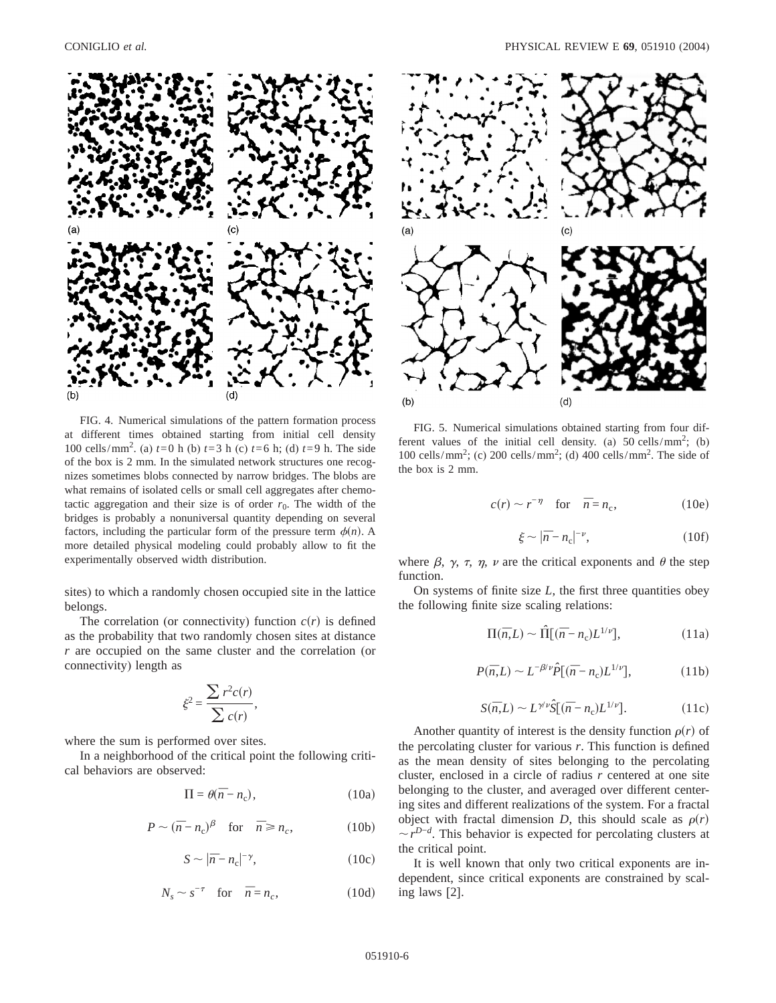

FIG. 4. Numerical simulations of the pattern formation process at different times obtained starting from initial cell density 100 cells/mm<sup>2</sup>. (a)  $t=0$  h (b)  $t=3$  h (c)  $t=6$  h; (d)  $t=9$  h. The side of the box is 2 mm. In the simulated network structures one recognizes sometimes blobs connected by narrow bridges. The blobs are what remains of isolated cells or small cell aggregates after chemotactic aggregation and their size is of order  $r_0$ . The width of the bridges is probably a nonuniversal quantity depending on several factors, including the particular form of the pressure term  $\phi(n)$ . A more detailed physical modeling could probably allow to fit the experimentally observed width distribution.

sites) to which a randomly chosen occupied site in the lattice belongs.

The correlation (or connectivity) function  $c(r)$  is defined as the probability that two randomly chosen sites at distance *r* are occupied on the same cluster and the correlation (or connectivity) length as

$$
\xi^2 = \frac{\sum r^2 c(r)}{\sum c(r)},
$$

where the sum is performed over sites.

In a neighborhood of the critical point the following critical behaviors are observed:

$$
\Pi = \theta(\bar{n} - n_c),\tag{10a}
$$

$$
P \sim (\bar{n} - n_c)^{\beta} \quad \text{for} \quad \bar{n} \ge n_c,
$$
 (10b)

$$
S \sim |\bar{n} - n_{\rm c}|^{-\gamma},\tag{10c}
$$

$$
N_s \sim s^{-\tau} \quad \text{for} \quad \bar{n} = n_c,
$$
 (10d)



FIG. 5. Numerical simulations obtained starting from four different values of the initial cell density. (a)  $50$  cells/mm<sup>2</sup>; (b) 100 cells/mm<sup>2</sup>; (c) 200 cells/mm<sup>2</sup>; (d) 400 cells/mm<sup>2</sup>. The side of the box is 2 mm.

$$
c(r) \sim r^{-\eta} \quad \text{for} \quad \bar{n} = n_c,
$$
 (10e)

$$
\xi \sim |\bar{n} - n_c|^{-\nu},\tag{10f}
$$

where  $\beta$ ,  $\gamma$ ,  $\tau$ ,  $\eta$ ,  $\nu$  are the critical exponents and  $\theta$  the step function.

On systems of finite size *L*, the first three quantities obey the following finite size scaling relations:

$$
\Pi(\bar{n},L) \sim \hat{\Pi}[(\bar{n}-n_c)L^{1/\nu}], \qquad (11a)
$$

$$
P(\overline{n},L) \sim L^{-\beta/\nu} \hat{P}[(\overline{n}-n_c)L^{1/\nu}], \qquad (11b)
$$

$$
S(\overline{n}, L) \sim L^{\gamma/\nu} \hat{S}[(\overline{n} - n_c)L^{1/\nu}].
$$
 (11c)

Another quantity of interest is the density function  $\rho(r)$  of the percolating cluster for various *r*. This function is defined as the mean density of sites belonging to the percolating cluster, enclosed in a circle of radius *r* centered at one site belonging to the cluster, and averaged over different centering sites and different realizations of the system. For a fractal object with fractal dimension *D*, this should scale as  $\rho(r)$ ,*rD*−*<sup>d</sup>* . This behavior is expected for percolating clusters at the critical point.

It is well known that only two critical exponents are independent, since critical exponents are constrained by scaling laws [2].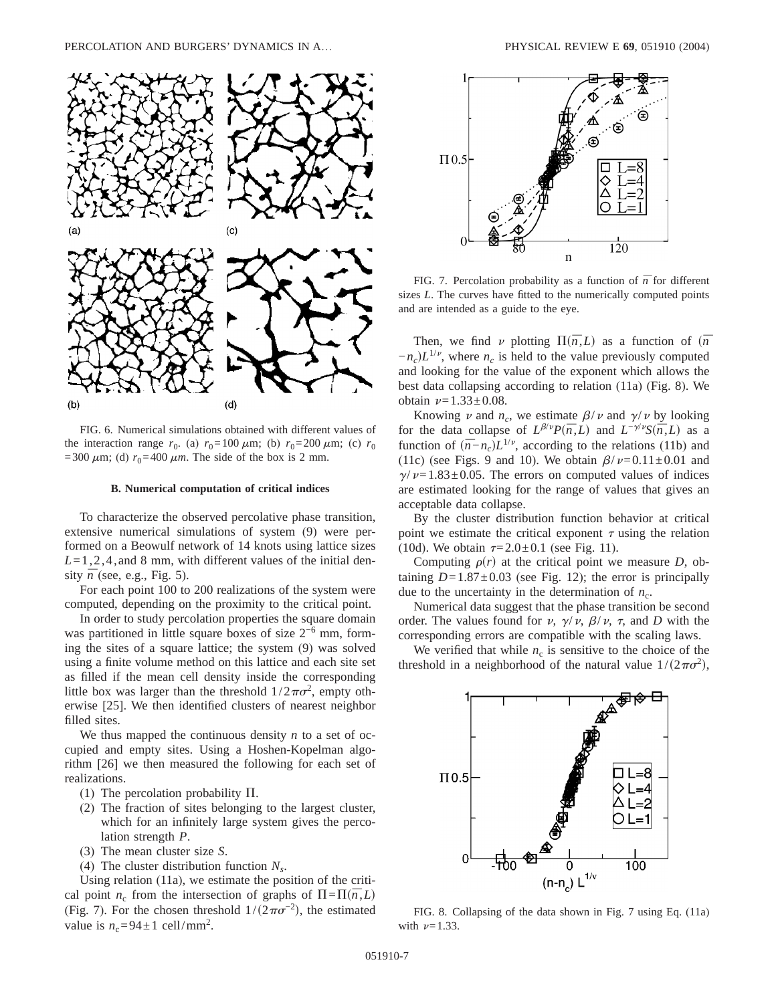

FIG. 6. Numerical simulations obtained with different values of the interaction range  $r_0$ . (a)  $r_0 = 100 \mu m$ ; (b)  $r_0 = 200 \mu m$ ; (c)  $r_0$ =300  $\mu$ m; (d)  $r_0$ =400  $\mu$ m. The side of the box is 2 mm.

#### **B. Numerical computation of critical indices**

To characterize the observed percolative phase transition, extensive numerical simulations of system (9) were performed on a Beowulf network of 14 knots using lattice sizes *L*=1,2,4,and 8 mm, with different values of the initial den- $\frac{1}{n}$  (see, e.g., Fig. 5).

For each point 100 to 200 realizations of the system were computed, depending on the proximity to the critical point.

In order to study percolation properties the square domain was partitioned in little square boxes of size  $2^{-6}$  mm, forming the sites of a square lattice; the system (9) was solved using a finite volume method on this lattice and each site set as filled if the mean cell density inside the corresponding little box was larger than the threshold  $1/2\pi\sigma^2$ , empty otherwise [25]. We then identified clusters of nearest neighbor filled sites.

We thus mapped the continuous density *n* to a set of occupied and empty sites. Using a Hoshen-Kopelman algorithm [26] we then measured the following for each set of realizations.

- (1) The percolation probability  $\Pi$ .
- (2) The fraction of sites belonging to the largest cluster, which for an infinitely large system gives the percolation strength *P*.
- (3) The mean cluster size *S*.
- (4) The cluster distribution function  $N_s$ .

Using relation (11a), we estimate the position of the critical point  $n_c$  from the intersection of graphs of  $\Pi = \Pi(\bar{n}, L)$ (Fig. 7). For the chosen threshold  $1/(2\pi\sigma^{-2})$ , the estimated value is  $n_c = 94 \pm 1$  cell/mm<sup>2</sup>.



FIG. 7. Percolation probability as a function of  $\bar{n}$  for different sizes *L*. The curves have fitted to the numerically computed points and are intended as a guide to the eye.

Then, we find  $\nu$  plotting  $\Pi(\bar{n}, L)$  as a function of  $(\bar{n})$  $-n_c$ <sup>L<sup>1/v</sup>, where  $n_c$  is held to the value previously computed</sup> and looking for the value of the exponent which allows the best data collapsing according to relation (11a) (Fig. 8). We obtain  $\nu=1.33\pm0.08$ .

Knowing  $\nu$  and  $n_c$ , we estimate  $\beta/\nu$  and  $\gamma/\nu$  by looking for the data collapse of  $L^{\beta/\nu}P(\bar{n},L)$  and  $L^{-\gamma/\nu}S(\bar{n},L)$  as a function of  $(\bar{n} - n_c)L^{1/\nu}$ , according to the relations (11b) and (11c) (see Figs. 9 and 10). We obtain  $\beta/\nu=0.11\pm0.01$  and  $\gamma/\nu=1.83\pm0.05$ . The errors on computed values of indices are estimated looking for the range of values that gives an acceptable data collapse.

By the cluster distribution function behavior at critical point we estimate the critical exponent  $\tau$  using the relation (10d). We obtain  $\tau = 2.0 \pm 0.1$  (see Fig. 11).

Computing  $\rho(r)$  at the critical point we measure *D*, obtaining  $D=1.87\pm0.03$  (see Fig. 12); the error is principally due to the uncertainty in the determination of  $n_c$ .

Numerical data suggest that the phase transition be second order. The values found for  $\nu$ ,  $\gamma/\nu$ ,  $\beta/\nu$ ,  $\tau$ , and *D* with the corresponding errors are compatible with the scaling laws.

We verified that while  $n_c$  is sensitive to the choice of the threshold in a neighborhood of the natural value  $1/(2\pi\sigma^2)$ ,



FIG. 8. Collapsing of the data shown in Fig. 7 using Eq. (11a) with  $\nu=1.33$ .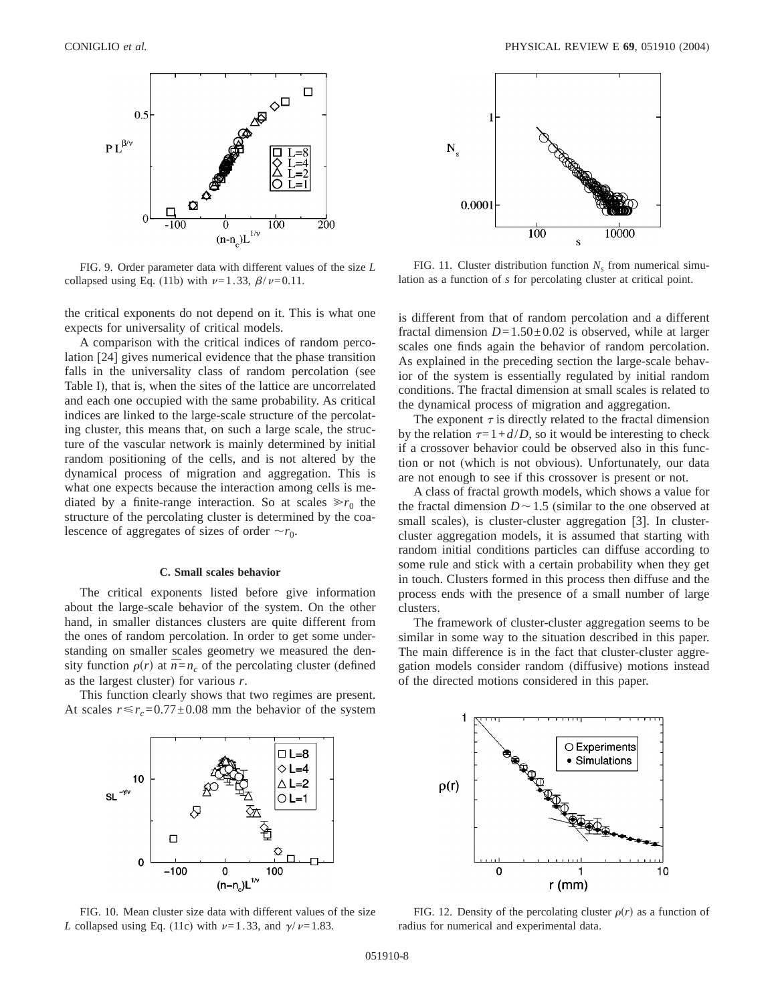

FIG. 9. Order parameter data with different values of the size *L* collapsed using Eq. (11b) with  $\nu=1.33$ ,  $\beta/\nu=0.11$ .

the critical exponents do not depend on it. This is what one expects for universality of critical models.

A comparison with the critical indices of random percolation [24] gives numerical evidence that the phase transition falls in the universality class of random percolation (see Table I), that is, when the sites of the lattice are uncorrelated and each one occupied with the same probability. As critical indices are linked to the large-scale structure of the percolating cluster, this means that, on such a large scale, the structure of the vascular network is mainly determined by initial random positioning of the cells, and is not altered by the dynamical process of migration and aggregation. This is what one expects because the interaction among cells is mediated by a finite-range interaction. So at scales  $\gg r_0$  the structure of the percolating cluster is determined by the coalescence of aggregates of sizes of order  $\sim r_0$ .

## **C. Small scales behavior**

The critical exponents listed before give information about the large-scale behavior of the system. On the other hand, in smaller distances clusters are quite different from the ones of random percolation. In order to get some understanding on smaller scales geometry we measured the density function  $\rho(r)$  at  $\bar{n} = n_c$  of the percolating cluster (defined as the largest cluster) for various *r*.

This function clearly shows that two regimes are present. At scales  $r \le r_c = 0.77 \pm 0.08$  mm the behavior of the system



FIG. 10. Mean cluster size data with different values of the size *L* collapsed using Eq. (11c) with  $\nu=1.33$ , and  $\gamma/\nu=1.83$ .



FIG. 11. Cluster distribution function  $N<sub>s</sub>$  from numerical simulation as a function of *s* for percolating cluster at critical point.

is different from that of random percolation and a different fractal dimension  $D=1.50\pm0.02$  is observed, while at larger scales one finds again the behavior of random percolation. As explained in the preceding section the large-scale behavior of the system is essentially regulated by initial random conditions. The fractal dimension at small scales is related to the dynamical process of migration and aggregation.

The exponent  $\tau$  is directly related to the fractal dimension by the relation  $\tau=1+d/D$ , so it would be interesting to check if a crossover behavior could be observed also in this function or not (which is not obvious). Unfortunately, our data are not enough to see if this crossover is present or not.

A class of fractal growth models, which shows a value for the fractal dimension  $D \sim 1.5$  (similar to the one observed at small scales), is cluster-cluster aggregation [3]. In clustercluster aggregation models, it is assumed that starting with random initial conditions particles can diffuse according to some rule and stick with a certain probability when they get in touch. Clusters formed in this process then diffuse and the process ends with the presence of a small number of large clusters.

The framework of cluster-cluster aggregation seems to be similar in some way to the situation described in this paper. The main difference is in the fact that cluster-cluster aggregation models consider random (diffusive) motions instead of the directed motions considered in this paper.



FIG. 12. Density of the percolating cluster  $\rho(r)$  as a function of radius for numerical and experimental data.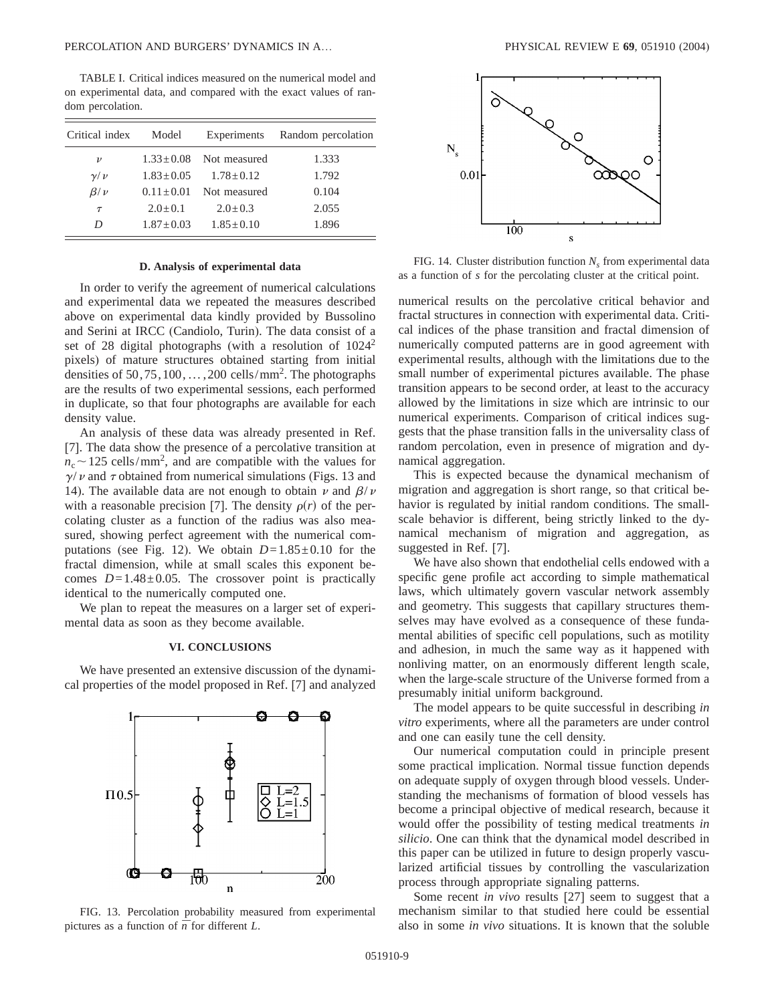TABLE I. Critical indices measured on the numerical model and on experimental data, and compared with the exact values of random percolation.

| Critical index | Model         | Experiments                     | Random percolation |
|----------------|---------------|---------------------------------|--------------------|
| $\nu$          | $1.33 + 0.08$ | Not measured                    | 1.333              |
| $\gamma/\nu$   |               | $1.83 \pm 0.05$ $1.78 \pm 0.12$ | 1.792              |
| $\beta/\nu$    | $0.11 + 0.01$ | Not measured                    | 0.104              |
| $\tau$         | $2.0+0.1$     | $2.0 \pm 0.3$                   | 2.055              |
| D              | $1.87 + 0.03$ | $1.85 \pm 0.10$                 | 1.896              |

#### **D. Analysis of experimental data**

In order to verify the agreement of numerical calculations and experimental data we repeated the measures described above on experimental data kindly provided by Bussolino and Serini at IRCC (Candiolo, Turin). The data consist of a set of 28 digital photographs (with a resolution of 10242 pixels) of mature structures obtained starting from initial densities of  $50, 75, 100, \ldots, 200$  cells/mm<sup>2</sup>. The photographs are the results of two experimental sessions, each performed in duplicate, so that four photographs are available for each density value.

An analysis of these data was already presented in Ref. [7]. The data show the presence of a percolative transition at  $n_c \sim 125$  cells/mm<sup>2</sup>, and are compatible with the values for  $\gamma/\nu$  and  $\tau$  obtained from numerical simulations (Figs. 13 and 14). The available data are not enough to obtain  $\nu$  and  $\beta/\nu$ with a reasonable precision [7]. The density  $\rho(r)$  of the percolating cluster as a function of the radius was also measured, showing perfect agreement with the numerical computations (see Fig. 12). We obtain  $D=1.85\pm0.10$  for the fractal dimension, while at small scales this exponent becomes  $D=1.48\pm0.05$ . The crossover point is practically identical to the numerically computed one.

We plan to repeat the measures on a larger set of experimental data as soon as they become available.

#### **VI. CONCLUSIONS**

We have presented an extensive discussion of the dynamical properties of the model proposed in Ref. [7] and analyzed



FIG. 13. Percolation probability measured from experimental pictures as a function of  $\bar{n}$  for different *L*.



FIG. 14. Cluster distribution function  $N_s$  from experimental data as a function of *s* for the percolating cluster at the critical point.

numerical results on the percolative critical behavior and fractal structures in connection with experimental data. Critical indices of the phase transition and fractal dimension of numerically computed patterns are in good agreement with experimental results, although with the limitations due to the small number of experimental pictures available. The phase transition appears to be second order, at least to the accuracy allowed by the limitations in size which are intrinsic to our numerical experiments. Comparison of critical indices suggests that the phase transition falls in the universality class of random percolation, even in presence of migration and dynamical aggregation.

This is expected because the dynamical mechanism of migration and aggregation is short range, so that critical behavior is regulated by initial random conditions. The smallscale behavior is different, being strictly linked to the dynamical mechanism of migration and aggregation, as suggested in Ref. [7].

We have also shown that endothelial cells endowed with a specific gene profile act according to simple mathematical laws, which ultimately govern vascular network assembly and geometry. This suggests that capillary structures themselves may have evolved as a consequence of these fundamental abilities of specific cell populations, such as motility and adhesion, in much the same way as it happened with nonliving matter, on an enormously different length scale, when the large-scale structure of the Universe formed from a presumably initial uniform background.

The model appears to be quite successful in describing *in vitro* experiments, where all the parameters are under control and one can easily tune the cell density.

Our numerical computation could in principle present some practical implication. Normal tissue function depends on adequate supply of oxygen through blood vessels. Understanding the mechanisms of formation of blood vessels has become a principal objective of medical research, because it would offer the possibility of testing medical treatments *in silicio*. One can think that the dynamical model described in this paper can be utilized in future to design properly vascularized artificial tissues by controlling the vascularization process through appropriate signaling patterns.

Some recent *in vivo* results [27] seem to suggest that a mechanism similar to that studied here could be essential also in some *in vivo* situations. It is known that the soluble